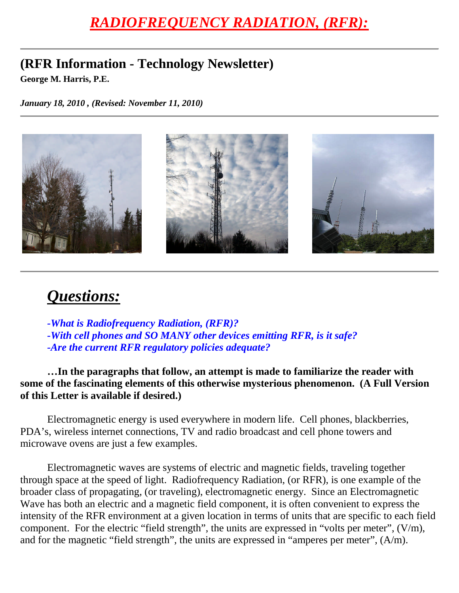## *RADIOFREQUENCY RADIATION, (RFR):*

## **(RFR Information - Technology Newsletter)**

**George M. Harris, P.E.**

*January 18, 2010 , (Revised: November 11, 2010)*



## *Questions:*

*-What is Radiofrequency Radiation, (RFR)? -With cell phones and SO MANY other devices emitting RFR, is it safe? -Are the current RFR regulatory policies adequate?*

**…In the paragraphs that follow, an attempt is made to familiarize the reader with some of the fascinating elements of this otherwise mysterious phenomenon. (A Full Version of this Letter is available if desired.)**

Electromagnetic energy is used everywhere in modern life. Cell phones, blackberries, PDA's, wireless internet connections, TV and radio broadcast and cell phone towers and microwave ovens are just a few examples.

Electromagnetic waves are systems of electric and magnetic fields, traveling together through space at the speed of light. Radiofrequency Radiation, (or RFR), is one example of the broader class of propagating, (or traveling), electromagnetic energy. Since an Electromagnetic Wave has both an electric and a magnetic field component, it is often convenient to express the intensity of the RFR environment at a given location in terms of units that are specific to each field component. For the electric "field strength", the units are expressed in "volts per meter", (V/m), and for the magnetic "field strength", the units are expressed in "amperes per meter", (A/m).